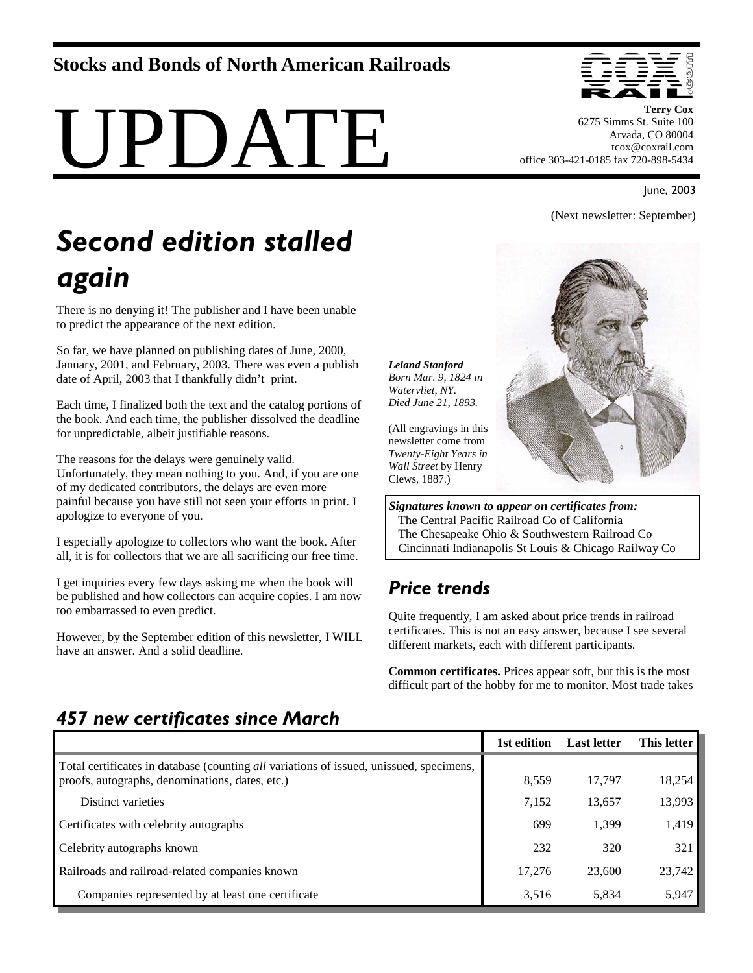#### **Stocks and Bonds of North American Railroads**

# UPDATE



**Terry Cox**  6275 Simms St. Suite 100 Arvada, CO 80004 tcox@coxrail.com office 303-421-0185 fax 720-898-5434

June, 2003

(Next newsletter: September)

## *Second edition stalled again*

There is no denying it! The publisher and I have been unable to predict the appearance of the next edition.

So far, we have planned on publishing dates of June, 2000, January, 2001, and February, 2003. There was even a publish date of April, 2003 that I thankfully didn't print.

Each time, I finalized both the text and the catalog portions of the book. And each time, the publisher dissolved the deadline for unpredictable, albeit justifiable reasons.

The reasons for the delays were genuinely valid. Unfortunately, they mean nothing to you. And, if you are one of my dedicated contributors, the delays are even more painful because you have still not seen your efforts in print. I apologize to everyone of you.

I especially apologize to collectors who want the book. After all, it is for collectors that we are all sacrificing our free time.

I get inquiries every few days asking me when the book will be published and how collectors can acquire copies. I am now too embarrassed to even predict.

However, by the September edition of this newsletter, I WILL have an answer. And a solid deadline.



*Signatures known to appear on certificates from:* The Central Pacific Railroad Co of California The Chesapeake Ohio & Southwestern Railroad Co Cincinnati Indianapolis St Louis & Chicago Railway Co

### *Price trends*

*Leland Stanford*

*Watervliet, NY.* 

Clews, 1887.)

Quite frequently, I am asked about price trends in railroad certificates. This is not an easy answer, because I see several different markets, each with different participants.

**Common certificates.** Prices appear soft, but this is the most difficult part of the hobby for me to monitor. Most trade takes

#### *457 new certificates since March*

|                                                                                                                                            | 1st edition | <b>Last letter</b> | This letter |
|--------------------------------------------------------------------------------------------------------------------------------------------|-------------|--------------------|-------------|
| Total certificates in database (counting all variations of issued, unissued, specimens,<br>proofs, autographs, denominations, dates, etc.) | 8,559       | 17.797             | 18,254      |
| Distinct varieties                                                                                                                         | 7,152       | 13,657             | 13,993      |
| Certificates with celebrity autographs                                                                                                     | 699         | 1,399              | 1,419       |
| Celebrity autographs known                                                                                                                 | 232         | 320                | 321         |
| Railroads and railroad-related companies known                                                                                             | 17.276      | 23,600             | 23,742      |
| Companies represented by at least one certificate                                                                                          | 3,516       | 5,834              | 5,947       |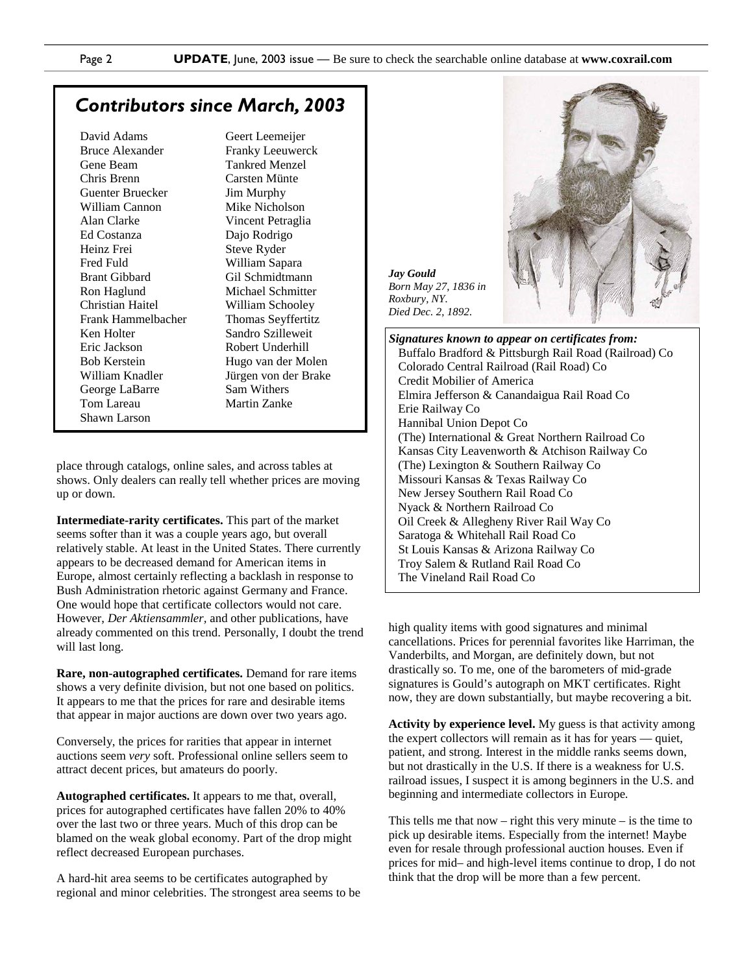*Jay Gould*

*Roxbury, NY. Died Dec. 2, 1892.* 

#### *Contributors since March, 2003*

David Adams Bruce Alexander Gene Beam Chris Brenn Guenter Bruecker William Cannon Alan Clarke Ed Costanza Heinz Frei Fred Fuld Brant Gibbard Ron Haglund Christian Haitel Frank Hammelbacher Ken Holter Eric Jackson Bob Kerstein William Knadler George LaBarre Tom Lareau Shawn Larson

Geert Leemeijer Franky Leeuwerck Tankred Menzel Carsten Münte Jim Murphy Mike Nicholson Vincent Petraglia Dajo Rodrigo Steve Ryder William Sapara Gil Schmidtmann Michael Schmitter William Schooley Thomas Seyffertitz Sandro Szilleweit Robert Underhill Hugo van der Molen Jürgen von der Brake Sam Withers Martin Zanke

place through catalogs, online sales, and across tables at shows. Only dealers can really tell whether prices are moving up or down.

**Intermediate-rarity certificates.** This part of the market seems softer than it was a couple years ago, but overall relatively stable. At least in the United States. There currently appears to be decreased demand for American items in Europe, almost certainly reflecting a backlash in response to Bush Administration rhetoric against Germany and France. One would hope that certificate collectors would not care. However, *Der Aktiensammler,* and other publications, have already commented on this trend. Personally, I doubt the trend will last long.

**Rare, non-autographed certificates.** Demand for rare items shows a very definite division, but not one based on politics. It appears to me that the prices for rare and desirable items that appear in major auctions are down over two years ago.

Conversely, the prices for rarities that appear in internet auctions seem *very* soft. Professional online sellers seem to attract decent prices, but amateurs do poorly.

**Autographed certificates.** It appears to me that, overall, prices for autographed certificates have fallen 20% to 40% over the last two or three years. Much of this drop can be blamed on the weak global economy. Part of the drop might reflect decreased European purchases.

A hard-hit area seems to be certificates autographed by regional and minor celebrities. The strongest area seems to be



*Signatures known to appear on certificates from:*  Buffalo Bradford & Pittsburgh Rail Road (Railroad) Co Colorado Central Railroad (Rail Road) Co Credit Mobilier of America Elmira Jefferson & Canandaigua Rail Road Co Erie Railway Co Hannibal Union Depot Co (The) International & Great Northern Railroad Co Kansas City Leavenworth & Atchison Railway Co (The) Lexington & Southern Railway Co Missouri Kansas & Texas Railway Co New Jersey Southern Rail Road Co Nyack & Northern Railroad Co Oil Creek & Allegheny River Rail Way Co Saratoga & Whitehall Rail Road Co St Louis Kansas & Arizona Railway Co Troy Salem & Rutland Rail Road Co The Vineland Rail Road Co

high quality items with good signatures and minimal cancellations. Prices for perennial favorites like Harriman, the Vanderbilts, and Morgan, are definitely down, but not drastically so. To me, one of the barometers of mid-grade signatures is Gould's autograph on MKT certificates. Right now, they are down substantially, but maybe recovering a bit.

**Activity by experience level.** My guess is that activity among the expert collectors will remain as it has for years — quiet, patient, and strong. Interest in the middle ranks seems down, but not drastically in the U.S. If there is a weakness for U.S. railroad issues, I suspect it is among beginners in the U.S. and beginning and intermediate collectors in Europe.

This tells me that now – right this very minute – is the time to pick up desirable items. Especially from the internet! Maybe even for resale through professional auction houses. Even if prices for mid– and high-level items continue to drop, I do not think that the drop will be more than a few percent.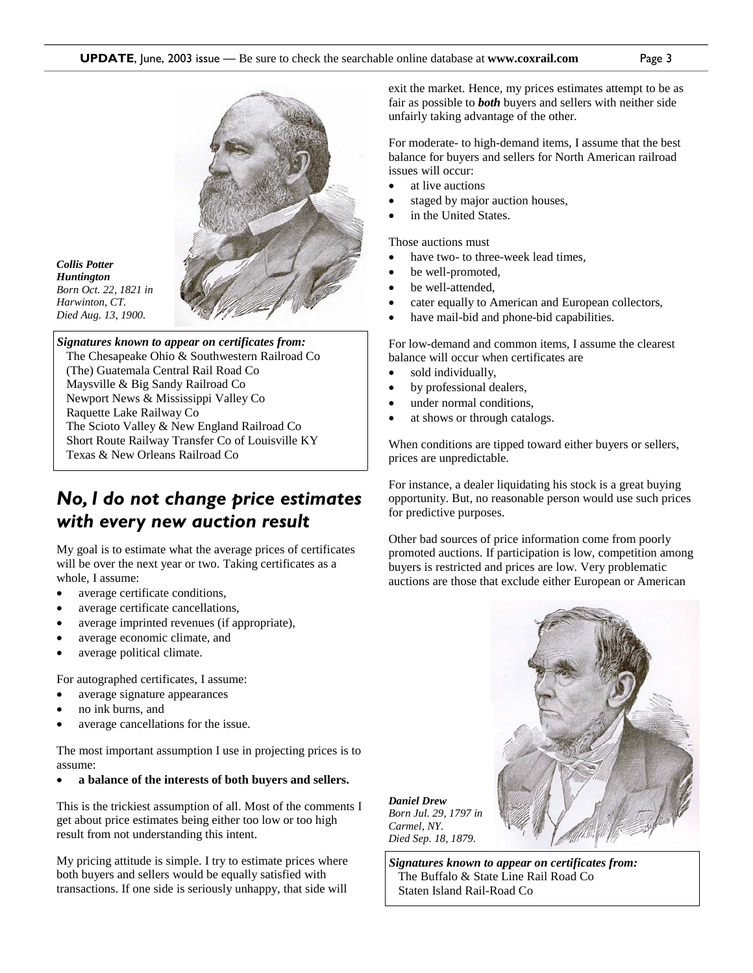

*Collis Potter Huntington Born Oct. 22, 1821 in Harwinton, CT. Died Aug. 13, 1900.* 

*Signatures known to appear on certificates from:*  The Chesapeake Ohio & Southwestern Railroad Co (The) Guatemala Central Rail Road Co Maysville & Big Sandy Railroad Co Newport News & Mississippi Valley Co Raquette Lake Railway Co The Scioto Valley & New England Railroad Co Short Route Railway Transfer Co of Louisville KY Texas & New Orleans Railroad Co

#### *No, I do not change price estimates with every new auction result*

My goal is to estimate what the average prices of certificates will be over the next year or two. Taking certificates as a whole, I assume:

- average certificate conditions,
- average certificate cancellations,
- average imprinted revenues (if appropriate),
- average economic climate, and
- average political climate.

For autographed certificates, I assume:

- average signature appearances
- no ink burns, and
- average cancellations for the issue.

The most important assumption I use in projecting prices is to assume:

• **a balance of the interests of both buyers and sellers.** 

This is the trickiest assumption of all. Most of the comments I get about price estimates being either too low or too high result from not understanding this intent.

My pricing attitude is simple. I try to estimate prices where both buyers and sellers would be equally satisfied with transactions. If one side is seriously unhappy, that side will

exit the market. Hence, my prices estimates attempt to be as fair as possible to *both* buyers and sellers with neither side unfairly taking advantage of the other.

For moderate- to high-demand items, I assume that the best balance for buyers and sellers for North American railroad issues will occur:

- at live auctions
- staged by major auction houses,
- in the United States.

Those auctions must

- have two- to three-week lead times,
- be well-promoted.
- be well-attended.
- cater equally to American and European collectors,
- have mail-bid and phone-bid capabilities.

For low-demand and common items, I assume the clearest balance will occur when certificates are

- sold individually,
- by professional dealers,
- under normal conditions,
- at shows or through catalogs.

When conditions are tipped toward either buyers or sellers, prices are unpredictable.

For instance, a dealer liquidating his stock is a great buying opportunity. But, no reasonable person would use such prices for predictive purposes.

Other bad sources of price information come from poorly promoted auctions. If participation is low, competition among buyers is restricted and prices are low. Very problematic auctions are those that exclude either European or American



*Daniel Drew Born Jul. 29, 1797 in Carmel, NY. Died Sep. 18, 1879.* 

*Signatures known to appear on certificates from:*  The Buffalo & State Line Rail Road Co Staten Island Rail-Road Co